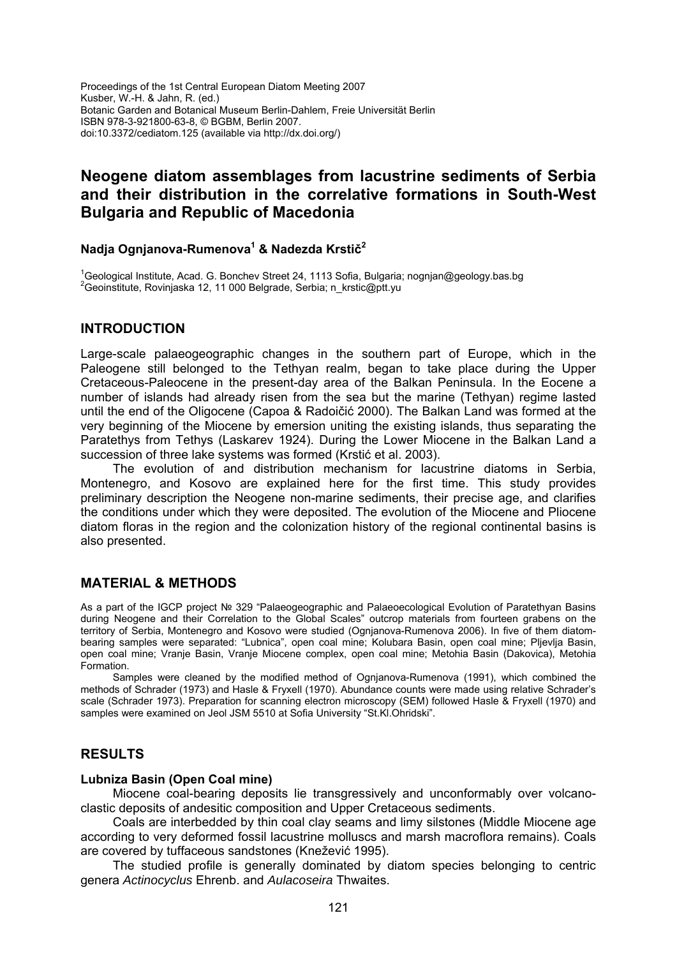Proceedings of the 1st Central European Diatom Meeting 2007 Kusber, W.-H. & Jahn, R. (ed.) Botanic Garden and Botanical Museum Berlin-Dahlem, Freie Universität Berlin ISBN 978-3-921800-63-8, © BGBM, Berlin 2007. doi:10.3372/cediatom.125 (available via http://dx.doi.org/)

# **Neogene diatom assemblages from lacustrine sediments of Serbia and their distribution in the correlative formations in South-West Bulgaria and Republic of Macedonia**

## **Nadja Ognjanova-Rumenova1 & Nadezda Krstič<sup>2</sup>**

<sup>1</sup>Geological Institute, Acad. G. Bonchev Street 24, 1113 Sofia, Bulgaria; [nognjan@geology.bas.bg](mailto:nognjan@geology.bas.bg)<br><sup>2</sup>Cesipatitute, Raviniaaka 12, 11,000 Relaxade, Serbia: p. kratie@att.uu <sup>2</sup>Geoinstitute, Rovinjaska 12, 11 000 Belgrade, Serbia; [n\\_krstic@ptt.yu](mailto:n_krstic@ptt.yu)

### **INTRODUCTION**

Large-scale palaeogeographic changes in the southern part of Europe, which in the Paleogene still belonged to the Tethyan realm, began to take place during the Upper Cretaceous-Paleocene in the present-day area of the Balkan Peninsula. In the Eocene a number of islands had already risen from the sea but the marine (Tethyan) regime lasted until the end of the Oligocene (Capoa & Radoičić 2000). The Balkan Land was formed at the very beginning of the Miocene by emersion uniting the existing islands, thus separating the Paratethys from Tethys (Laskarev 1924). During the Lower Miocene in the Balkan Land a succession of three lake systems was formed (Krstić et al. 2003).

The evolution of and distribution mechanism for lacustrine diatoms in Serbia, Montenegro, and Kosovo are explained here for the first time. This study provides preliminary description the Neogene non-marine sediments, their precise age, and clarifies the conditions under which they were deposited. The evolution of the Miocene and Pliocene diatom floras in the region and the colonization history of the regional continental basins is also presented.

## **MATERIAL & METHODS**

As a part of the IGCP project № 329 "Palaeogeographic and Palaeoecological Evolution of Paratethyan Basins during Neogene and their Correlation to the Global Scales" outcrop materials from fourteen grabens on the territory of Serbia, Montenegro and Kosovo were studied (Ognjanova-Rumenova 2006). In five of them diatombearing samples were separated: "Lubnica", open coal mine; Kolubara Basin, open coal mine; Pljevlja Basin, open coal mine; Vranje Basin, Vranje Miocene complex, open coal mine; Metohia Basin (Dakovica), Metohia Formation.

Samples were cleaned by the modified method of Ognjanova-Rumenova (1991), which combined the methods of Schrader (1973) and Hasle & Fryxell (1970). Abundance counts were made using relative Schrader's scale (Schrader 1973). Preparation for scanning electron microscopy (SEM) followed Hasle & Fryxell (1970) and samples were examined on Jeol JSM 5510 at Sofia University "St.Kl.Ohridski".

## **RESULTS**

#### **Lubniza Basin (Open Coal mine)**

Miocene coal-bearing deposits lie transgressively and unconformably over volcanoclastic deposits of andesitic composition and Upper Cretaceous sediments.

Coals are interbedded by thin coal clay seams and limy silstones (Middle Miocene age according to very deformed fossil lacustrine molluscs and marsh macroflora remains). Coals are covered by tuffaceous sandstones (Knežević 1995).

The studied profile is generally dominated by diatom species belonging to centric genera *Actinocyclus* Ehrenb. and *Aulacoseira* Thwaites.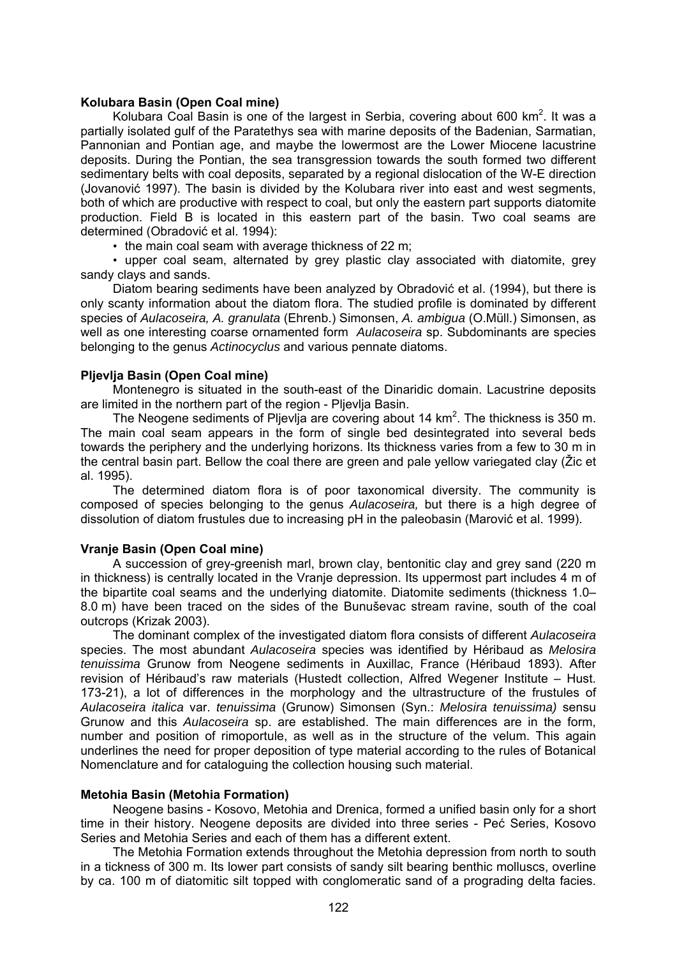#### **Kolubara Basin (Open Coal mine)**

Kolubara Coal Basin is one of the largest in Serbia, covering about 600 km<sup>2</sup>. It was a partially isolated gulf of the Paratethys sea with marine deposits of the Badenian, Sarmatian, Pannonian and Pontian age, and maybe the lowermost are the Lower Miocene lacustrine deposits. During the Pontian, the sea transgression towards the south formed two different sedimentary belts with coal deposits, separated by a regional dislocation of the W-E direction (Jovanović 1997). The basin is divided by the Kolubara river into east and west segments, both of which are productive with respect to coal, but only the eastern part supports diatomite production. Field B is located in this eastern part of the basin. Two coal seams are determined (Obradović et al. 1994):

• the main coal seam with average thickness of 22 m;

• upper coal seam, alternated by grey plastic clay associated with diatomite, grey sandy clays and sands.

Diatom bearing sediments have been analyzed by Obradović et al. (1994), but there is only scanty information about the diatom flora. The studied profile is dominated by different species of *Aulacoseira, A. granulata* (Ehrenb.) Simonsen, *A. ambigua* (O.Müll.) Simonsen, as well as one interesting coarse ornamented form *Aulacoseira* sp. Subdominants are species belonging to the genus *Actinocyclus* and various pennate diatoms.

### **Pljevlja Basin (Open Coal mine)**

Montenegro is situated in the south-east of the Dinaridic domain. Lacustrine deposits are limited in the northern part of the region - Pljevlja Basin.

The Neogene sediments of Pljevlja are covering about 14  $km<sup>2</sup>$ . The thickness is 350 m. The main coal seam appears in the form of single bed desintegrated into several beds towards the periphery and the underlying horizons. Its thickness varies from a few to 30 m in the central basin part. Bellow the coal there are green and pale yellow variegated clay (Žic et al. 1995).

The determined diatom flora is of poor taxonomical diversity. The community is composed of species belonging to the genus *Aulacoseira,* but there is a high degree of dissolution of diatom frustules due to increasing pH in the paleobasin (Marović et al. 1999).

#### **Vranje Basin (Open Coal mine)**

A succession of grey-greenish marl, brown clay, bentonitic clay and grey sand (220 m in thickness) is centrally located in the Vranje depression. Its uppermost part includes 4 m of the bipartite coal seams and the underlying diatomite. Diatomite sediments (thickness 1.0– 8.0 m) have been traced on the sides of the Bunuševac stream ravine, south of the coal outcrops (Krizak 2003).

The dominant complex of the investigated diatom flora consists of different *Aulacoseira* species. The most abundant *Aulacoseira* species was identified by Héribaud as *Melosira tenuissima* Grunow from Neogene sediments in Auxillac, France (Héribaud 1893). After revision of Héribaud's raw materials (Hustedt collection, Alfred Wegener Institute – Hust. 173-21), a lot of differences in the morphology and the ultrastructure of the frustules of *Aulacoseira italica* var. *tenuissima* (Grunow) Simonsen (Syn.: *Melosira tenuissima)* sensu Grunow and this *Aulacoseira* sp. are established. The main differences are in the form, number and position of rimoportule, as well as in the structure of the velum. This again underlines the need for proper deposition of type material according to the rules of Botanical Nomenclature and for cataloguing the collection housing such material.

#### **Metohia Basin (Metohia Formation)**

Neogene basins - Kosovo, Metohia and Drenica, formed a unified basin only for a short time in their history. Neogene deposits are divided into three series - Peć Series, Kosovo Series and Metohia Series and each of them has a different extent.

The Metohia Formation extends throughout the Metohia depression from north to south in a tickness of 300 m. Its lower part consists of sandy silt bearing benthic molluscs, overline by ca. 100 m of diatomitic silt topped with conglomeratic sand of a prograding delta facies.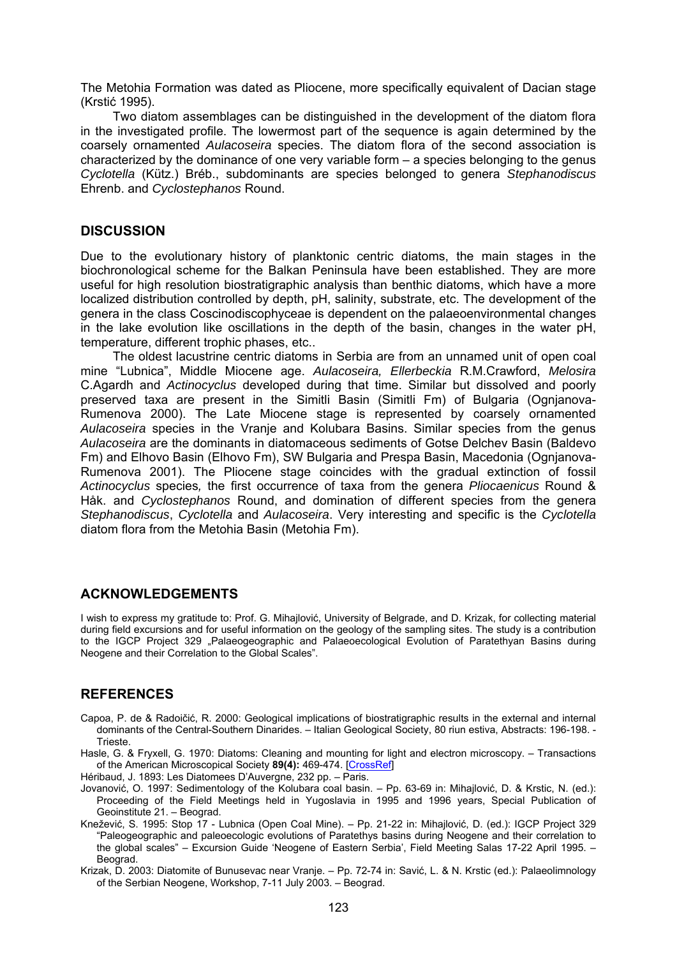The Metohia Formation was dated as Pliocene, more specifically equivalent of Dacian stage (Krstić 1995).

Two diatom assemblages can be distinguished in the development of the diatom flora in the investigated profile. The lowermost part of the sequence is again determined by the coarsely ornamented *Aulacoseira* species. The diatom flora of the second association is characterized by the dominance of one very variable form – a species belonging to the genus *Cyclotella* (Kütz.) Bréb., subdominants are species belonged to genera *Stephanodiscus* Ehrenb. and *Cyclostephanos* Round.

## **DISCUSSION**

Due to the evolutionary history of planktonic centric diatoms, the main stages in the biochronological scheme for the Balkan Peninsula have been established. They are more useful for high resolution biostratigraphic analysis than benthic diatoms, which have a more localized distribution controlled by depth, pH, salinity, substrate, etc. The development of the genera in the class Coscinodiscophyceae is dependent on the palaeoenvironmental changes in the lake evolution like oscillations in the depth of the basin, changes in the water pH, temperature, different trophic phases, etc..

The oldest lacustrine centric diatoms in Serbia are from an unnamed unit of open coal mine "Lubnica", Middle Miocene age. *Aulacoseira, Ellerbeckia* R.M.Crawford, *Melosira*  C.Agardh and *Actinocyclus* developed during that time. Similar but dissolved and poorly preserved taxa are present in the Simitli Basin (Simitli Fm) of Bulgaria (Ognjanova-Rumenova 2000). The Late Miocene stage is represented by coarsely ornamented *Aulacoseira* species in the Vranje and Kolubara Basins. Similar species from the genus *Aulacoseira* are the dominants in diatomaceous sediments of Gotse Delchev Basin (Baldevo Fm) and Elhovo Basin (Elhovo Fm), SW Bulgaria and Prespa Basin, Macedonia (Ognjanova-Rumenova 2001). The Pliocene stage coincides with the gradual extinction of fossil *Actinocyclus* species*,* the first occurrence of taxa from the genera *Pliocaenicus* Round & Håk. and *Cyclostephanos* Round, and domination of different species from the genera *Stephanodiscus*, *Cyclotella* and *Aulacoseira*. Very interesting and specific is the *Cyclotella* diatom flora from the Metohia Basin (Metohia Fm).

## **ACKNOWLEDGEMENTS**

I wish to express my gratitude to: Prof. G. Mihajlović, University of Belgrade, and D. Krizak, for collecting material during field excursions and for useful information on the geology of the sampling sites. The study is a contribution to the IGCP Project 329 "Palaeogeographic and Palaeoecological Evolution of Paratethyan Basins during Neogene and their Correlation to the Global Scales".

## **REFERENCES**

- Capoa, P. de & Radoičić, R. 2000: Geological implications of biostratigraphic results in the external and internal dominants of the Central-Southern Dinarides. – Italian Geological Society, 80 riun estiva, Abstracts: 196-198. - Trieste.
- Hasle, G. & Fryxell, G. 1970: Diatoms: Cleaning and mounting for light and electron microscopy. Transactions of the American Microscopical Society **89(4):** 469-474. [[CrossRef](http://dx.doi.org/10.2307/3224555)]
- Héribaud, J. 1893: Les Diatomees D'Auvergne, 232 pp. Paris.
- Jovanović, O. 1997: Sedimentology of the Kolubara coal basin. Pp. 63-69 in: Mihajlović, D. & Krstic, N. (ed.): Proceeding of the Field Meetings held in Yugoslavia in 1995 and 1996 years, Special Publication of Geoinstitute 21. – Beograd.
- Knežević, S. 1995: Stop 17 Lubnica (Open Coal Mine). Pp. 21-22 in: Mihajlović, D. (ed.): IGCP Project 329 "Paleogeographic and paleoecologic evolutions of Paratethys basins during Neogene and their correlation to the global scales" – Excursion Guide 'Neogene of Eastern Serbia', Field Meeting Salas 17-22 April 1995. – Beograd.
- Krizak, D. 2003: Diatomite of Bunusevac near Vranje. Pp. 72-74 in: Savić, L. & N. Krstic (ed.): Palaeolimnology of the Serbian Neogene, Workshop, 7-11 July 2003. – Beograd.